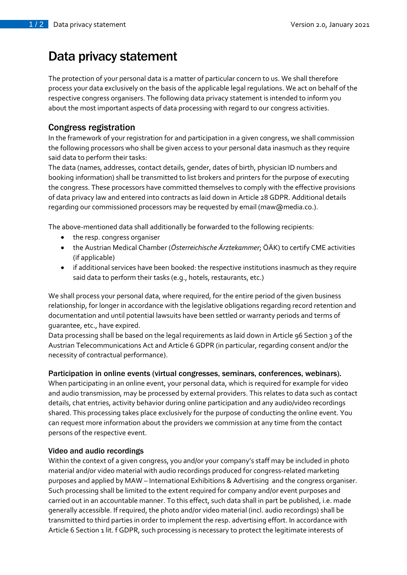# Data privacy statement

The protection of your personal data is a matter of particular concern to us. We shall therefore process your data exclusively on the basis of the applicable legal regulations. We act on behalf of the respective congress organisers. The following data privacy statement is intended to inform you about the most important aspects of data processing with regard to our congress activities.

## Congress registration

In the framework of your registration for and participation in a given congress, we shall commission the following processors who shall be given access to your personal data inasmuch as they require said data to perform their tasks:

The data (names, addresses, contact details, gender, dates of birth, physician ID numbers and booking information) shall be transmitted to list brokers and printers for the purpose of executing the congress. These processors have committed themselves to comply with the effective provisions of data privacy law and entered into contracts as laid down in Article 28 GDPR. Additional details regarding our commissioned processors may be requested by email (maw@media.co.).

The above-mentioned data shall additionally be forwarded to the following recipients:

- the resp. congress organiser
- the Austrian Medical Chamber (*Österreichische Ärztekammer*; ÖÄK) to certify CME activities (if applicable)
- if additional services have been booked: the respective institutions inasmuch as they require said data to perform their tasks (e.g., hotels, restaurants, etc.)

We shall process your personal data, where required, for the entire period of the given business relationship, for longer in accordance with the legislative obligations regarding record retention and documentation and until potential lawsuits have been settled or warranty periods and terms of guarantee, etc., have expired.

Data processing shall be based on the legal requirements as laid down in Article 96 Section 3 of the Austrian Telecommunications Act and Article 6 GDPR (in particular, regarding consent and/or the necessity of contractual performance).

#### Participation in online events (virtual congresses, seminars, conferences, webinars).

When participating in an online event, your personal data, which is required for example for video and audio transmission, may be processed by external providers. This relates to data such as contact details, chat entries, activity behavior during online participation and any audio/video recordings shared. This processing takes place exclusively for the purpose of conducting the online event. You can request more information about the providers we commission at any time from the contact persons of the respective event.

#### Video and audio recordings

Within the context of a given congress, you and/or your company's staff may be included in photo material and/or video material with audio recordings produced for congress-related marketing purposes and applied by MAW – International Exhibitions & Advertising and the congress organiser. Such processing shall be limited to the extent required for company and/or event purposes and carried out in an accountable manner. To this effect, such data shall in part be published, i.e. made generally accessible. If required, the photo and/or video material (incl. audio recordings) shall be transmitted to third parties in order to implement the resp. advertising effort. In accordance with Article 6 Section 1 lit. f GDPR, such processing is necessary to protect the legitimate interests of